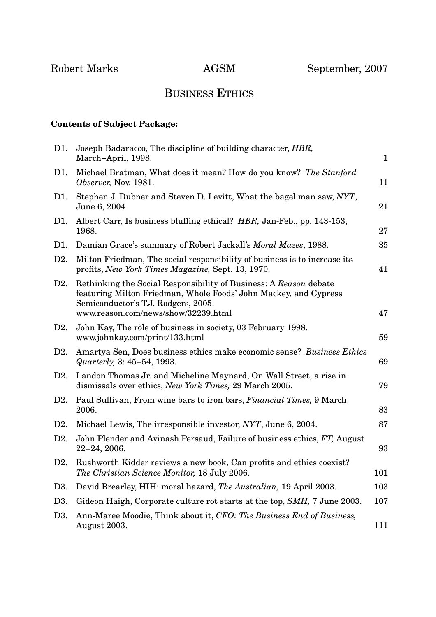## BUSINESS ETHICS

## **Contents of Subject Package:**

| D1.              | Joseph Badaracco, The discipline of building character, <i>HBR</i> ,<br>March-April, 1998.                                                                                                                          | $\mathbf{1}$ |
|------------------|---------------------------------------------------------------------------------------------------------------------------------------------------------------------------------------------------------------------|--------------|
| D1.              | Michael Bratman, What does it mean? How do you know? The Stanford<br>Observer, Nov. 1981.                                                                                                                           | 11           |
| D1.              | Stephen J. Dubner and Steven D. Levitt, What the bagel man saw, NYT,<br>June 6, 2004                                                                                                                                | 21           |
| D1.              | Albert Carr, Is business bluffing ethical? HBR, Jan-Feb., pp. 143-153,<br>1968.                                                                                                                                     | 27           |
| D1.              | Damian Grace's summary of Robert Jackall's Moral Mazes, 1988.                                                                                                                                                       | 35           |
| D <sub>2</sub> . | Milton Friedman, The social responsibility of business is to increase its<br>profits, New York Times Magazine, Sept. 13, 1970.                                                                                      | 41           |
| D2.              | Rethinking the Social Responsibility of Business: A Reason debate<br>featuring Milton Friedman, Whole Foods' John Mackey, and Cypress<br>Semiconductor's T.J. Rodgers, 2005.<br>www.reason.com/news/show/32239.html | 47           |
| D2.              | John Kay, The rôle of business in society, 03 February 1998.<br>www.johnkay.com/print/133.html                                                                                                                      | 59           |
| D2.              | Amartya Sen, Does business ethics make economic sense? Business Ethics<br>Quarterly, 3: 45-54, 1993.                                                                                                                | 69           |
| D2.              | Landon Thomas Jr. and Micheline Maynard, On Wall Street, a rise in<br>dismissals over ethics, New York Times, 29 March 2005.                                                                                        | 79           |
| D2.              | Paul Sullivan, From wine bars to iron bars, <i>Financial Times</i> , 9 March<br>2006.                                                                                                                               | 83           |
| D2.              | Michael Lewis, The irresponsible investor, NYT, June 6, 2004.                                                                                                                                                       | 87           |
| D <sub>2</sub> . | John Plender and Avinash Persaud, Failure of business ethics, FT, August<br>$22 - 24, 2006.$                                                                                                                        | 93           |
| D2.              | Rushworth Kidder reviews a new book, Can profits and ethics coexist?<br>The Christian Science Monitor, 18 July 2006.                                                                                                | 101          |
| D <sub>3</sub> . | David Brearley, HIH: moral hazard, The Australian, 19 April 2003.                                                                                                                                                   | 103          |
| D3.              | Gideon Haigh, Corporate culture rot starts at the top, SMH, 7 June 2003.                                                                                                                                            | 107          |
| D <sub>3</sub> . | Ann-Maree Moodie, Think about it, CFO: The Business End of Business,<br>August 2003.                                                                                                                                | 111          |